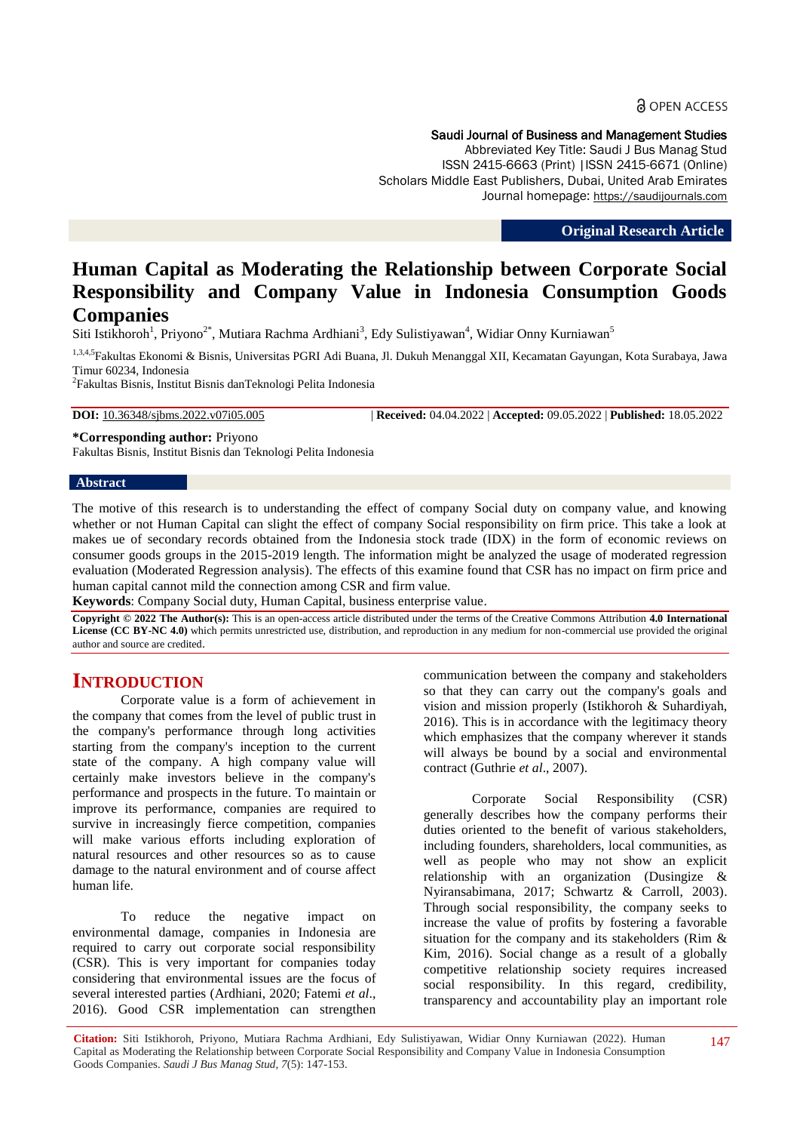### Saudi Journal of Business and Management Studies

Abbreviated Key Title: Saudi J Bus Manag Stud ISSN 2415-6663 (Print) |ISSN 2415-6671 (Online) Scholars Middle East Publishers, Dubai, United Arab Emirates Journal homepage: https://saudijournals.com

**Original Research Article**

# **Human Capital as Moderating the Relationship between Corporate Social Responsibility and Company Value in Indonesia Consumption Goods Companies**

Siti Istikhoroh<sup>1</sup>, Priyono<sup>2\*</sup>, Mutiara Rachma Ardhiani<sup>3</sup>, Edy Sulistiyawan<sup>4</sup>, Widiar Onny Kurniawan<sup>5</sup>

<sup>1,3,4,5</sup>Fakultas Ekonomi & Bisnis, Universitas PGRI Adi Buana, Jl. Dukuh Menanggal XII, Kecamatan Gayungan, Kota Surabaya, Jawa Timur 60234, Indonesia

2 Fakultas Bisnis, Institut Bisnis danTeknologi Pelita Indonesia

**DOI:** 10.36348/sjbms.2022.v07i05.005 | **Received:** 04.04.2022 | **Accepted:** 09.05.2022 | **Published:** 18.05.2022

**\*Corresponding author:** Priyono Fakultas Bisnis, Institut Bisnis dan Teknologi Pelita Indonesia

#### **Abstract**

The motive of this research is to understanding the effect of company Social duty on company value, and knowing whether or not Human Capital can slight the effect of company Social responsibility on firm price. This take a look at makes ue of secondary records obtained from the Indonesia stock trade (IDX) in the form of economic reviews on consumer goods groups in the 2015-2019 length. The information might be analyzed the usage of moderated regression evaluation (Moderated Regression analysis). The effects of this examine found that CSR has no impact on firm price and human capital cannot mild the connection among CSR and firm value.

**Keywords**: Company Social duty, Human Capital, business enterprise value.

**Copyright © 2022 The Author(s):** This is an open-access article distributed under the terms of the Creative Commons Attribution **4.0 International License (CC BY-NC 4.0)** which permits unrestricted use, distribution, and reproduction in any medium for non-commercial use provided the original author and source are credited.

# **INTRODUCTION**

Corporate value is a form of achievement in the company that comes from the level of public trust in the company's performance through long activities starting from the company's inception to the current state of the company. A high company value will certainly make investors believe in the company's performance and prospects in the future. To maintain or improve its performance, companies are required to survive in increasingly fierce competition, companies will make various efforts including exploration of natural resources and other resources so as to cause damage to the natural environment and of course affect human life.

To reduce the negative impact on environmental damage, companies in Indonesia are required to carry out corporate social responsibility (CSR). This is very important for companies today considering that environmental issues are the focus of several interested parties (Ardhiani, 2020; Fatemi *et al*., 2016). Good CSR implementation can strengthen communication between the company and stakeholders so that they can carry out the company's goals and vision and mission properly (Istikhoroh & Suhardiyah, 2016). This is in accordance with the legitimacy theory which emphasizes that the company wherever it stands will always be bound by a social and environmental contract (Guthrie *et al*., 2007).

Corporate Social Responsibility (CSR) generally describes how the company performs their duties oriented to the benefit of various stakeholders, including founders, shareholders, local communities, as well as people who may not show an explicit relationship with an organization (Dusingize & Nyiransabimana, 2017; Schwartz & Carroll, 2003). Through social responsibility, the company seeks to increase the value of profits by fostering a favorable situation for the company and its stakeholders (Rim & Kim, 2016). Social change as a result of a globally competitive relationship society requires increased social responsibility. In this regard, credibility, transparency and accountability play an important role

**Citation:** Siti Istikhoroh, Priyono, Mutiara Rachma Ardhiani, Edy Sulistiyawan, Widiar Onny Kurniawan (2022). Human Capital as Moderating the Relationship between Corporate Social Responsibility and Company Value in Indonesia Consumption Goods Companies. *Saudi J Bus Manag Stud, 7*(5): 147-153.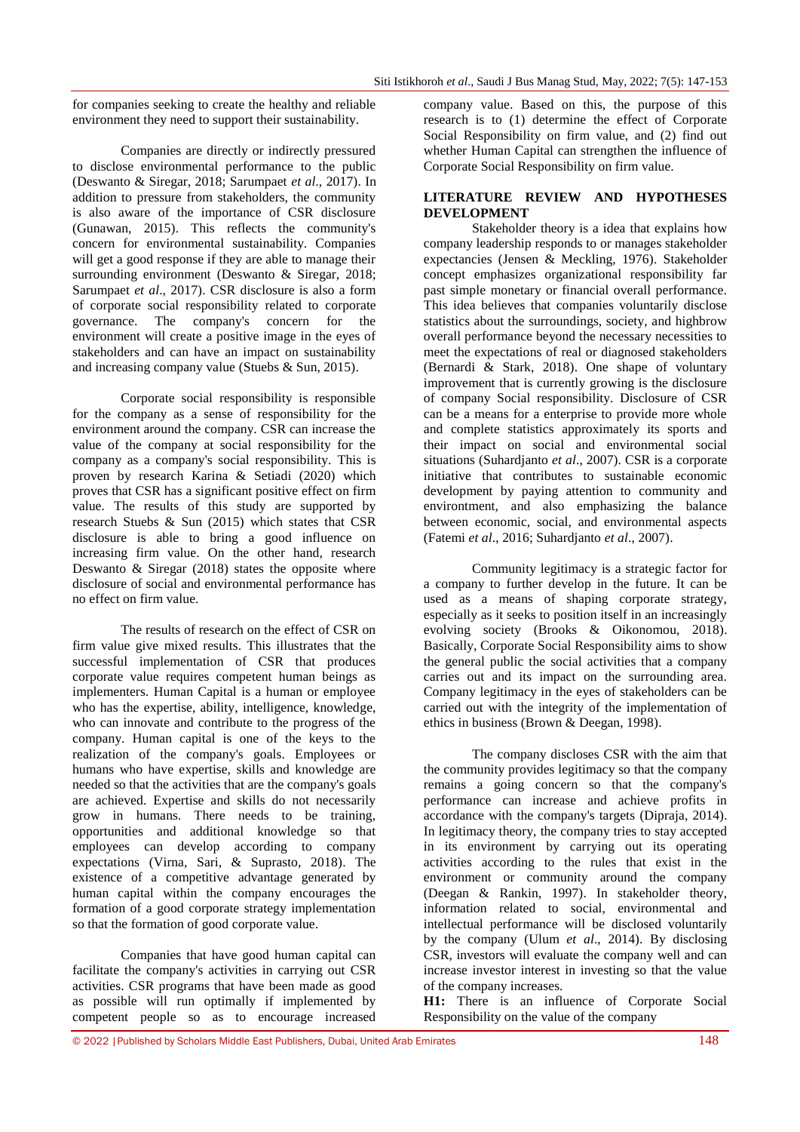for companies seeking to create the healthy and reliable environment they need to support their sustainability.

Companies are directly or indirectly pressured to disclose environmental performance to the public (Deswanto & Siregar, 2018; Sarumpaet *et al*., 2017). In addition to pressure from stakeholders, the community is also aware of the importance of CSR disclosure (Gunawan, 2015). This reflects the community's concern for environmental sustainability. Companies will get a good response if they are able to manage their surrounding environment (Deswanto & Siregar, 2018; Sarumpaet *et al*., 2017). CSR disclosure is also a form of corporate social responsibility related to corporate governance. The company's concern for the environment will create a positive image in the eyes of stakeholders and can have an impact on sustainability and increasing company value (Stuebs & Sun, 2015).

Corporate social responsibility is responsible for the company as a sense of responsibility for the environment around the company. CSR can increase the value of the company at social responsibility for the company as a company's social responsibility. This is proven by research Karina & Setiadi (2020) which proves that CSR has a significant positive effect on firm value. The results of this study are supported by research Stuebs & Sun (2015) which states that CSR disclosure is able to bring a good influence on increasing firm value. On the other hand, research Deswanto & Siregar (2018) states the opposite where disclosure of social and environmental performance has no effect on firm value.

The results of research on the effect of CSR on firm value give mixed results. This illustrates that the successful implementation of CSR that produces corporate value requires competent human beings as implementers. Human Capital is a human or employee who has the expertise, ability, intelligence, knowledge, who can innovate and contribute to the progress of the company. Human capital is one of the keys to the realization of the company's goals. Employees or humans who have expertise, skills and knowledge are needed so that the activities that are the company's goals are achieved. Expertise and skills do not necessarily grow in humans. There needs to be training, opportunities and additional knowledge so that employees can develop according to company expectations (Virna, Sari, & Suprasto, 2018). The existence of a competitive advantage generated by human capital within the company encourages the formation of a good corporate strategy implementation so that the formation of good corporate value.

Companies that have good human capital can facilitate the company's activities in carrying out CSR activities. CSR programs that have been made as good as possible will run optimally if implemented by competent people so as to encourage increased

company value. Based on this, the purpose of this research is to (1) determine the effect of Corporate Social Responsibility on firm value, and (2) find out whether Human Capital can strengthen the influence of Corporate Social Responsibility on firm value.

### **LITERATURE REVIEW AND HYPOTHESES DEVELOPMENT**

Stakeholder theory is a idea that explains how company leadership responds to or manages stakeholder expectancies (Jensen & Meckling, 1976). Stakeholder concept emphasizes organizational responsibility far past simple monetary or financial overall performance. This idea believes that companies voluntarily disclose statistics about the surroundings, society, and highbrow overall performance beyond the necessary necessities to meet the expectations of real or diagnosed stakeholders (Bernardi & Stark, 2018). One shape of voluntary improvement that is currently growing is the disclosure of company Social responsibility. Disclosure of CSR can be a means for a enterprise to provide more whole and complete statistics approximately its sports and their impact on social and environmental social situations (Suhardjanto *et al*., 2007). CSR is a corporate initiative that contributes to sustainable economic development by paying attention to community and environtment, and also emphasizing the balance between economic, social, and environmental aspects (Fatemi *et al*., 2016; Suhardjanto *et al*., 2007).

Community legitimacy is a strategic factor for a company to further develop in the future. It can be used as a means of shaping corporate strategy, especially as it seeks to position itself in an increasingly evolving society (Brooks & Oikonomou, 2018). Basically, Corporate Social Responsibility aims to show the general public the social activities that a company carries out and its impact on the surrounding area. Company legitimacy in the eyes of stakeholders can be carried out with the integrity of the implementation of ethics in business (Brown & Deegan, 1998).

The company discloses CSR with the aim that the community provides legitimacy so that the company remains a going concern so that the company's performance can increase and achieve profits in accordance with the company's targets (Dipraja, 2014). In legitimacy theory, the company tries to stay accepted in its environment by carrying out its operating activities according to the rules that exist in the environment or community around the company (Deegan & Rankin, 1997). In stakeholder theory, information related to social, environmental and intellectual performance will be disclosed voluntarily by the company (Ulum *et al*., 2014). By disclosing CSR, investors will evaluate the company well and can increase investor interest in investing so that the value of the company increases.

**H1:** There is an influence of Corporate Social Responsibility on the value of the company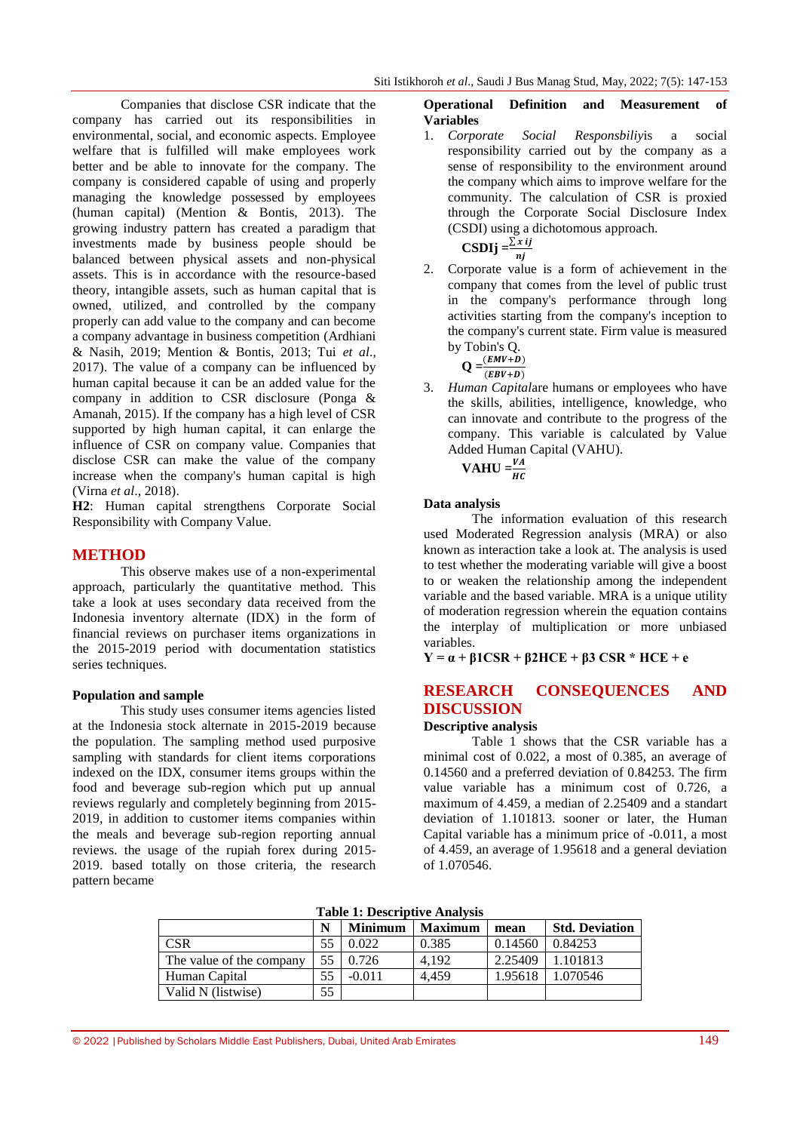Companies that disclose CSR indicate that the company has carried out its responsibilities in environmental, social, and economic aspects. Employee welfare that is fulfilled will make employees work better and be able to innovate for the company. The company is considered capable of using and properly managing the knowledge possessed by employees (human capital) (Mention & Bontis, 2013). The growing industry pattern has created a paradigm that investments made by business people should be balanced between physical assets and non-physical assets. This is in accordance with the resource-based theory, intangible assets, such as human capital that is owned, utilized, and controlled by the company properly can add value to the company and can become a company advantage in business competition (Ardhiani & Nasih, 2019; Mention & Bontis, 2013; Tui *et al*., 2017). The value of a company can be influenced by human capital because it can be an added value for the company in addition to CSR disclosure (Ponga & Amanah, 2015). If the company has a high level of CSR supported by high human capital, it can enlarge the influence of CSR on company value. Companies that disclose CSR can make the value of the company increase when the company's human capital is high (Virna *et al*., 2018).

**H2**: Human capital strengthens Corporate Social Responsibility with Company Value.

### **METHOD**

This observe makes use of a non-experimental approach, particularly the quantitative method. This take a look at uses secondary data received from the Indonesia inventory alternate (IDX) in the form of financial reviews on purchaser items organizations in the 2015-2019 period with documentation statistics series techniques.

### **Population and sample**

This study uses consumer items agencies listed at the Indonesia stock alternate in 2015-2019 because the population. The sampling method used purposive sampling with standards for client items corporations indexed on the IDX, consumer items groups within the food and beverage sub-region which put up annual reviews regularly and completely beginning from 2015- 2019, in addition to customer items companies within the meals and beverage sub-region reporting annual reviews. the usage of the rupiah forex during 2015- 2019. based totally on those criteria, the research pattern became

**Operational Definition and Measurement of Variables**

1. *Corporate Social Responsbiliy*is a social responsibility carried out by the company as a sense of responsibility to the environment around the company which aims to improve welfare for the community. The calculation of CSR is proxied through the Corporate Social Disclosure Index (CSDI) using a dichotomous approach.

$$
CSDIj = \frac{\sum x ij}{nj}
$$

2. Corporate value is a form of achievement in the company that comes from the level of public trust in the company's performance through long activities starting from the company's inception to the company's current state. Firm value is measured by Tobin's Q.

$$
Q = \frac{(EMV + D)}{(EBV + D)}
$$

3. *Human Capital*are humans or employees who have the skills, abilities, intelligence, knowledge, who can innovate and contribute to the progress of the company. This variable is calculated by Value Added Human Capital (VAHU).

**VAHU** = $\frac{V}{H}$ 

### **Data analysis**

The information evaluation of this research used Moderated Regression analysis (MRA) or also known as interaction take a look at. The analysis is used to test whether the moderating variable will give a boost to or weaken the relationship among the independent variable and the based variable. MRA is a unique utility of moderation regression wherein the equation contains the interplay of multiplication or more unbiased variables.

 $Y = \alpha + \beta 1CSR + \beta 2HCE + \beta 3CSR * HCE + e$ 

# **RESEARCH CONSEQUENCES AND DISCUSSION**

### **Descriptive analysis**

Table 1 shows that the CSR variable has a minimal cost of 0.022, a most of 0.385, an average of 0.14560 and a preferred deviation of 0.84253. The firm value variable has a minimum cost of 0.726, a maximum of 4.459, a median of 2.25409 and a standart deviation of 1.101813. sooner or later, the Human Capital variable has a minimum price of -0.011, a most of 4.459, an average of 1.95618 and a general deviation of 1.070546.

**Table 1: Descriptive Analysis**

| Table 1. Descriptive Amary 313 |    |                |                |         |                       |  |
|--------------------------------|----|----------------|----------------|---------|-----------------------|--|
|                                | N  | <b>Minimum</b> | <b>Maximum</b> | mean    | <b>Std. Deviation</b> |  |
| <b>CSR</b>                     | 55 | 0.022          | 0.385          | 0.14560 | 0.84253               |  |
| The value of the company       | 55 | 0.726          | 4.192          | 2.25409 | 1.101813              |  |
| Human Capital                  | 55 | $-0.011$       | 4.459          | 1.95618 | 1.070546              |  |
| Valid N (listwise)             | 55 |                |                |         |                       |  |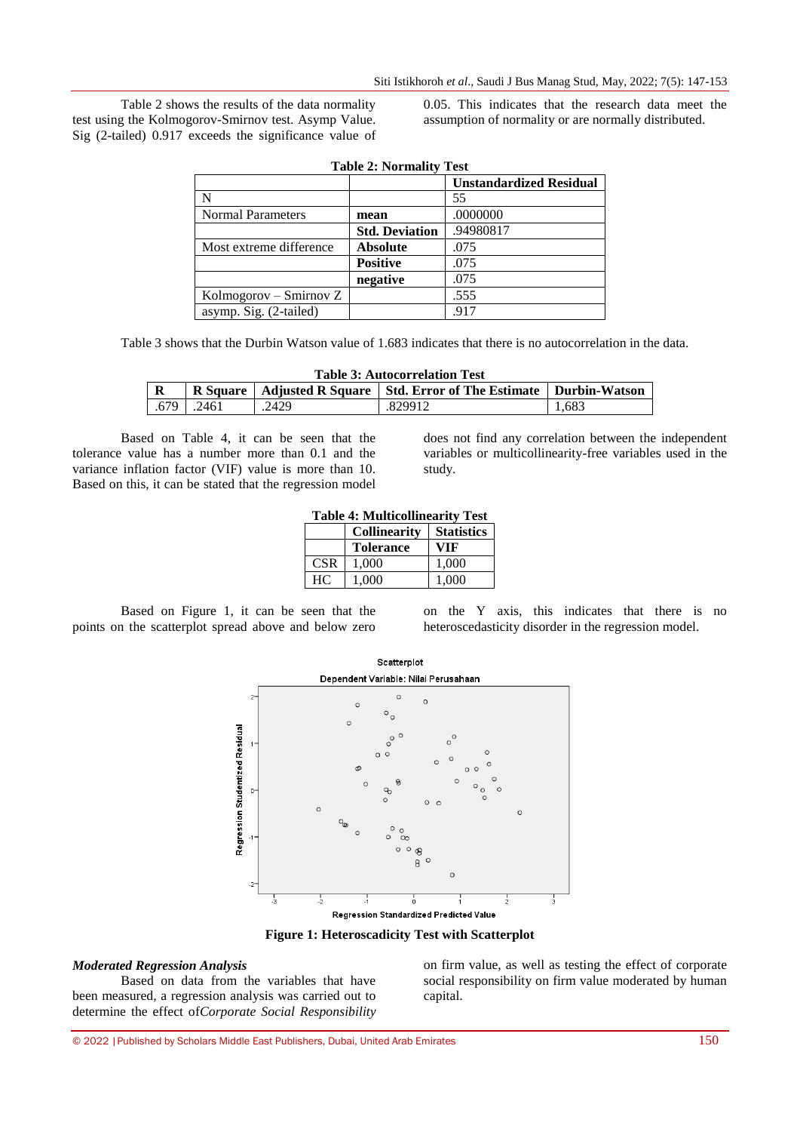Table 2 shows the results of the data normality test using the Kolmogorov-Smirnov test. Asymp Value. Sig (2-tailed) 0.917 exceeds the significance value of 0.05. This indicates that the research data meet the assumption of normality or are normally distributed.

| <b>Table 2: Normality Test</b> |                       |                                |  |
|--------------------------------|-----------------------|--------------------------------|--|
|                                |                       | <b>Unstandardized Residual</b> |  |
|                                |                       | 55                             |  |
| <b>Normal Parameters</b>       | mean                  | .0000000                       |  |
|                                | <b>Std. Deviation</b> | .94980817                      |  |
| Most extreme difference        | <b>Absolute</b>       | .075                           |  |
|                                | <b>Positive</b>       | .075                           |  |
|                                | negative              | .075                           |  |
| Kolmogorov – Smirnov Z         |                       | .555                           |  |
| asymp. Sig. (2-tailed)         |                       | .917                           |  |

Table 3 shows that the Durbin Watson value of 1.683 indicates that there is no autocorrelation in the data.

| <b>Table 3: Autocorrelation Test</b> |      |       |                                                                           |       |  |
|--------------------------------------|------|-------|---------------------------------------------------------------------------|-------|--|
|                                      |      |       | R Square   Adjusted R Square   Std. Error of The Estimate   Durbin-Watson |       |  |
| .679                                 | 2461 | .2429 | .829912                                                                   | 1.683 |  |

Based on Table 4, it can be seen that the tolerance value has a number more than 0.1 and the variance inflation factor (VIF) value is more than 10. Based on this, it can be stated that the regression model

does not find any correlation between the independent variables or multicollinearity-free variables used in the study.

|  | <b>Table 4: Multicollinearity Test</b> |  |
|--|----------------------------------------|--|
|  | Collingenity   Statistics              |  |

|            | <b>Collinearity</b> | <b>Statistics</b> 1 |
|------------|---------------------|---------------------|
|            | <b>Tolerance</b>    | VIF                 |
| <b>CSR</b> | 1.000               | 1,000               |
| HC.        | 1.000               | 1,000               |

Based on Figure 1, it can be seen that the points on the scatterplot spread above and below zero

on the Y axis, this indicates that there is no heteroscedasticity disorder in the regression model.



**Figure 1: Heteroscadicity Test with Scatterplot**

### *Moderated Regression Analysis*

Based on data from the variables that have been measured, a regression analysis was carried out to determine the effect of*Corporate Social Responsibility* on firm value, as well as testing the effect of corporate social responsibility on firm value moderated by human capital.

© 2022 |Published by Scholars Middle East Publishers, Dubai, United Arab Emirates 150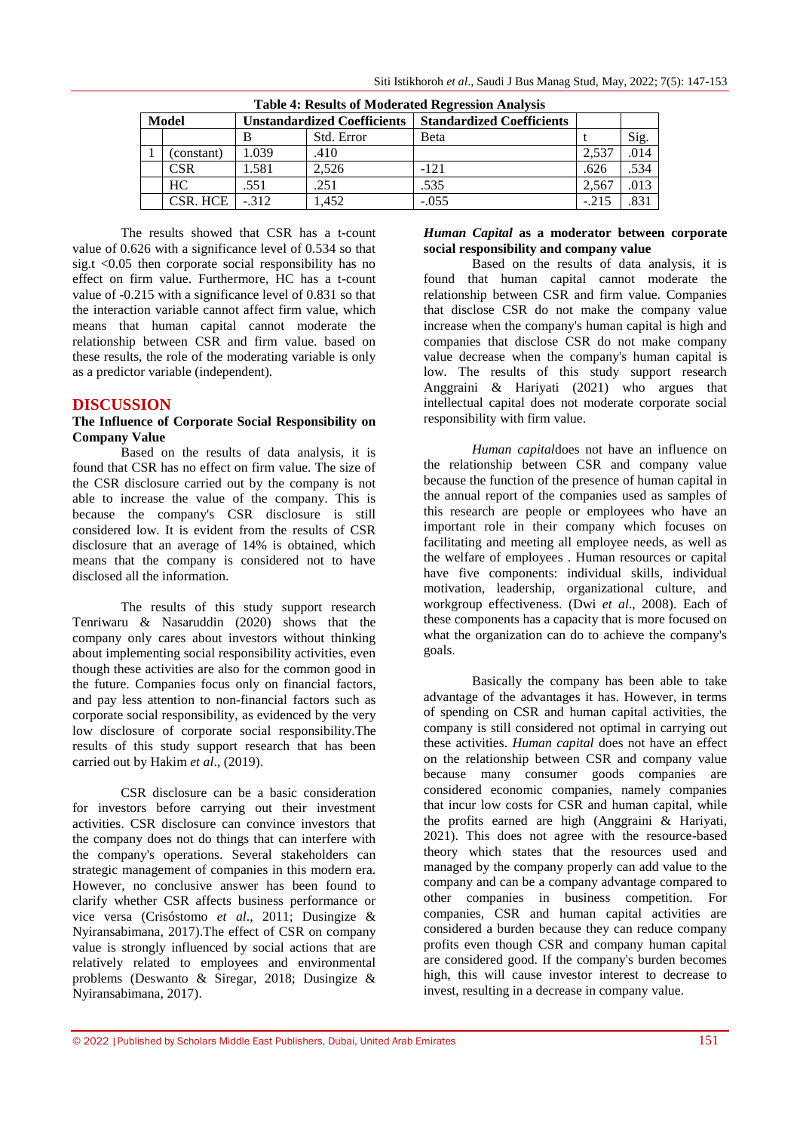| Table 4. Integrites of Information Internetwork Internet |            |                                    |            |                                  |         |      |
|----------------------------------------------------------|------------|------------------------------------|------------|----------------------------------|---------|------|
| Model                                                    |            | <b>Unstandardized Coefficients</b> |            | <b>Standardized Coefficients</b> |         |      |
|                                                          |            |                                    | Std. Error | Beta                             |         | Sig. |
|                                                          | (constant) | 1.039                              | .410       |                                  | 2.537   | .014 |
|                                                          | <b>CSR</b> | .581                               | 2.526      | $-121$                           | .626    | .534 |
|                                                          | HC.        | .551                               | .251       | .535                             | 2.567   | .013 |
|                                                          | CSR. HCE   | $-312$                             | 1.452      | $-.055$                          | $-.215$ | .831 |

**Table 4: Results of Moderated Regression Analysis**

The results showed that CSR has a t-count value of 0.626 with a significance level of 0.534 so that sig.t  $\langle 0.05 \rangle$  then corporate social responsibility has no effect on firm value. Furthermore, HC has a t-count value of -0.215 with a significance level of 0.831 so that the interaction variable cannot affect firm value, which means that human capital cannot moderate the relationship between CSR and firm value. based on these results, the role of the moderating variable is only as a predictor variable (independent).

# **DISCUSSION**

### **The Influence of Corporate Social Responsibility on Company Value**

Based on the results of data analysis, it is found that CSR has no effect on firm value. The size of the CSR disclosure carried out by the company is not able to increase the value of the company. This is because the company's CSR disclosure is still considered low. It is evident from the results of CSR disclosure that an average of 14% is obtained, which means that the company is considered not to have disclosed all the information.

The results of this study support research Tenriwaru & Nasaruddin (2020) shows that the company only cares about investors without thinking about implementing social responsibility activities, even though these activities are also for the common good in the future. Companies focus only on financial factors, and pay less attention to non-financial factors such as corporate social responsibility, as evidenced by the very low disclosure of corporate social responsibility.The results of this study support research that has been carried out by Hakim *et al*., (2019).

CSR disclosure can be a basic consideration for investors before carrying out their investment activities. CSR disclosure can convince investors that the company does not do things that can interfere with the company's operations. Several stakeholders can strategic management of companies in this modern era. However, no conclusive answer has been found to clarify whether CSR affects business performance or vice versa (Crisóstomo *et al*., 2011; Dusingize & Nyiransabimana, 2017).The effect of CSR on company value is strongly influenced by social actions that are relatively related to employees and environmental problems (Deswanto & Siregar, 2018; Dusingize & Nyiransabimana, 2017).

### *Human Capital* **as a moderator between corporate social responsibility and company value**

Based on the results of data analysis, it is found that human capital cannot moderate the relationship between CSR and firm value. Companies that disclose CSR do not make the company value increase when the company's human capital is high and companies that disclose CSR do not make company value decrease when the company's human capital is low. The results of this study support research Anggraini & Hariyati (2021) who argues that intellectual capital does not moderate corporate social responsibility with firm value.

*Human capital*does not have an influence on the relationship between CSR and company value because the function of the presence of human capital in the annual report of the companies used as samples of this research are people or employees who have an important role in their company which focuses on facilitating and meeting all employee needs, as well as the welfare of employees . Human resources or capital have five components: individual skills, individual motivation, leadership, organizational culture, and workgroup effectiveness. (Dwi *et al*., 2008). Each of these components has a capacity that is more focused on what the organization can do to achieve the company's goals.

Basically the company has been able to take advantage of the advantages it has. However, in terms of spending on CSR and human capital activities, the company is still considered not optimal in carrying out these activities. *Human capital* does not have an effect on the relationship between CSR and company value because many consumer goods companies are considered economic companies, namely companies that incur low costs for CSR and human capital, while the profits earned are high (Anggraini  $\&$  Hariyati, 2021). This does not agree with the resource-based theory which states that the resources used and managed by the company properly can add value to the company and can be a company advantage compared to other companies in business competition. For companies, CSR and human capital activities are considered a burden because they can reduce company profits even though CSR and company human capital are considered good. If the company's burden becomes high, this will cause investor interest to decrease to invest, resulting in a decrease in company value.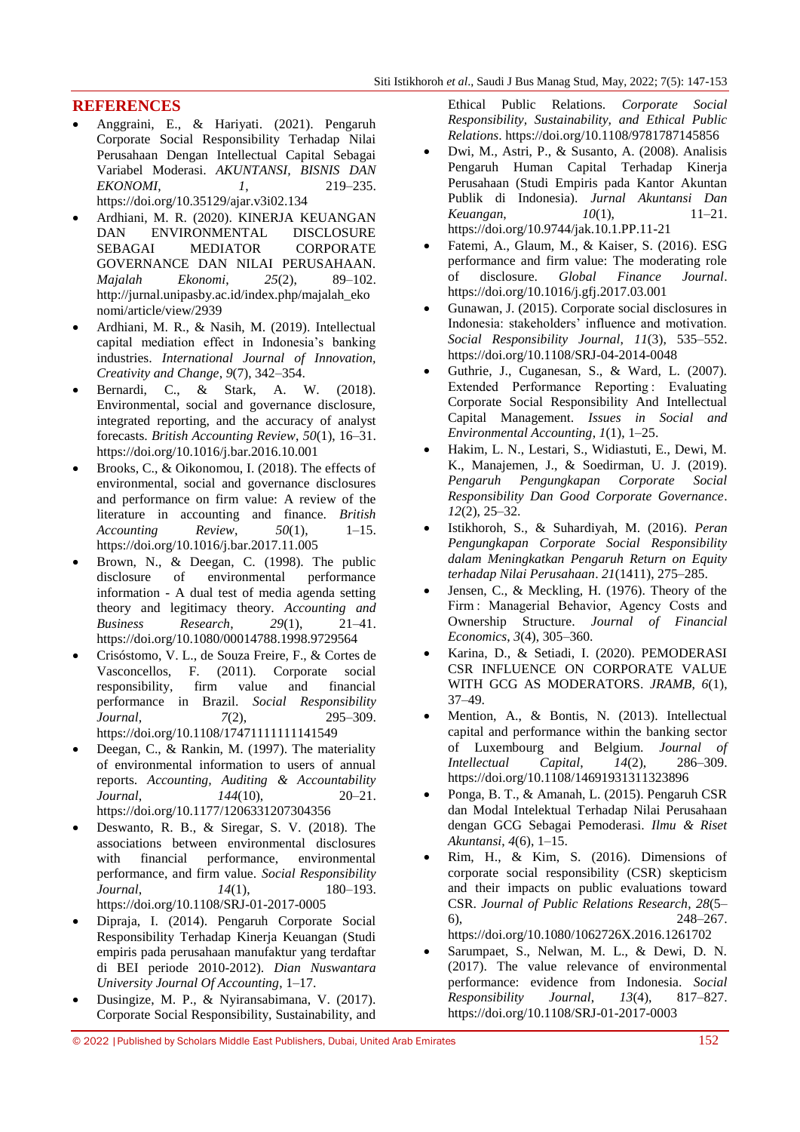## **REFERENCES**

- Anggraini, E., & Hariyati. (2021). Pengaruh Corporate Social Responsibility Terhadap Nilai Perusahaan Dengan Intellectual Capital Sebagai Variabel Moderasi. *AKUNTANSI, BISNIS DAN EKONOMI*, *1*, 219–235. https://doi.org/10.35129/ajar.v3i02.134
- Ardhiani, M. R. (2020). KINERJA KEUANGAN DAN ENVIRONMENTAL DISCLOSURE SEBAGAI MEDIATOR CORPORATE GOVERNANCE DAN NILAI PERUSAHAAN. *Majalah Ekonomi*, *25*(2), 89–102. http://jurnal.unipasby.ac.id/index.php/majalah\_eko nomi/article/view/2939
- Ardhiani, M. R., & Nasih, M. (2019). Intellectual capital mediation effect in Indonesia's banking industries. *International Journal of Innovation, Creativity and Change*, *9*(7), 342–354.
- Bernardi, C., & Stark, A. W. (2018). Environmental, social and governance disclosure, integrated reporting, and the accuracy of analyst forecasts. *British Accounting Review*, *50*(1), 16–31. https://doi.org/10.1016/j.bar.2016.10.001
- Brooks, C., & Oikonomou, I. (2018). The effects of environmental, social and governance disclosures and performance on firm value: A review of the literature in accounting and finance. *British Accounting Review*, *50*(1), 1–15. https://doi.org/10.1016/j.bar.2017.11.005
- Brown, N., & Deegan, C. (1998). The public disclosure of environmental performance information - A dual test of media agenda setting theory and legitimacy theory. *Accounting and Business Research*, *29*(1), 21–41. https://doi.org/10.1080/00014788.1998.9729564
- Crisóstomo, V. L., de Souza Freire, F., & Cortes de Vasconcellos, F. (2011). Corporate social responsibility, firm value and financial performance in Brazil. *Social Responsibility Journal*, *7*(2), 295–309. https://doi.org/10.1108/17471111111141549
- Deegan, C., & Rankin, M. (1997). The materiality of environmental information to users of annual reports. *Accounting, Auditing & Accountability Journal*, *144*(10), 20–21. https://doi.org/10.1177/1206331207304356
- Deswanto, R. B., & Siregar, S. V. (2018). The associations between environmental disclosures with financial performance, environmental performance, and firm value. *Social Responsibility Journal*, *14*(1), 180–193. https://doi.org/10.1108/SRJ-01-2017-0005
- Dipraja, I. (2014). Pengaruh Corporate Social Responsibility Terhadap Kinerja Keuangan (Studi empiris pada perusahaan manufaktur yang terdaftar di BEI periode 2010-2012). *Dian Nuswantara University Journal Of Accounting*, 1–17.
- Dusingize, M. P., & Nyiransabimana, V. (2017). Corporate Social Responsibility, Sustainability, and

Ethical Public Relations. *Corporate Social Responsibility, Sustainability, and Ethical Public Relations*. https://doi.org/10.1108/9781787145856

- Dwi, M., Astri, P., & Susanto, A. (2008). Analisis Pengaruh Human Capital Terhadap Kinerja Perusahaan (Studi Empiris pada Kantor Akuntan Publik di Indonesia). *Jurnal Akuntansi Dan Keuangan*, *10*(1), 11–21. https://doi.org/10.9744/jak.10.1.PP.11-21
- Fatemi, A., Glaum, M., & Kaiser, S. (2016). ESG performance and firm value: The moderating role of disclosure. *Global Finance Journal*. https://doi.org/10.1016/j.gfj.2017.03.001
- Gunawan, J. (2015). Corporate social disclosures in Indonesia: stakeholders' influence and motivation. *Social Responsibility Journal*, *11*(3), 535–552. https://doi.org/10.1108/SRJ-04-2014-0048
- Guthrie, J., Cuganesan, S., & Ward, L. (2007). Extended Performance Reporting : Evaluating Corporate Social Responsibility And Intellectual Capital Management. *Issues in Social and Environmental Accounting*, *1*(1), 1–25.
- Hakim, L. N., Lestari, S., Widiastuti, E., Dewi, M. K., Manajemen, J., & Soedirman, U. J. (2019). *Pengaruh Pengungkapan Corporate Social Responsibility Dan Good Corporate Governance*. *12*(2), 25–32.
- Istikhoroh, S., & Suhardiyah, M. (2016). *Peran Pengungkapan Corporate Social Responsibility dalam Meningkatkan Pengaruh Return on Equity terhadap Nilai Perusahaan*. *21*(1411), 275–285.
- Jensen, C., & Meckling, H. (1976). Theory of the Firm : Managerial Behavior, Agency Costs and Ownership Structure. *Journal of Financial Economics*, *3*(4), 305–360.
- Karina, D., & Setiadi, I. (2020). PEMODERASI CSR INFLUENCE ON CORPORATE VALUE WITH GCG AS MODERATORS. *JRAMB*, *6*(1), 37–49.
- Mention, A., & Bontis, N. (2013). Intellectual capital and performance within the banking sector of Luxembourg and Belgium. *Journal of Intellectual Capital*, *14*(2), 286–309. https://doi.org/10.1108/14691931311323896
- Ponga, B. T., & Amanah, L. (2015). Pengaruh CSR dan Modal Intelektual Terhadap Nilai Perusahaan dengan GCG Sebagai Pemoderasi. *Ilmu & Riset Akuntansi*, *4*(6), 1–15.
- Rim, H., & Kim, S. (2016). Dimensions of corporate social responsibility (CSR) skepticism and their impacts on public evaluations toward CSR. *Journal of Public Relations Research*, *28*(5– 6), 248–267. https://doi.org/10.1080/1062726X.2016.1261702
- Sarumpaet, S., Nelwan, M. L., & Dewi, D. N. (2017). The value relevance of environmental performance: evidence from Indonesia. *Social*   $Responsibility$ https://doi.org/10.1108/SRJ-01-2017-0003